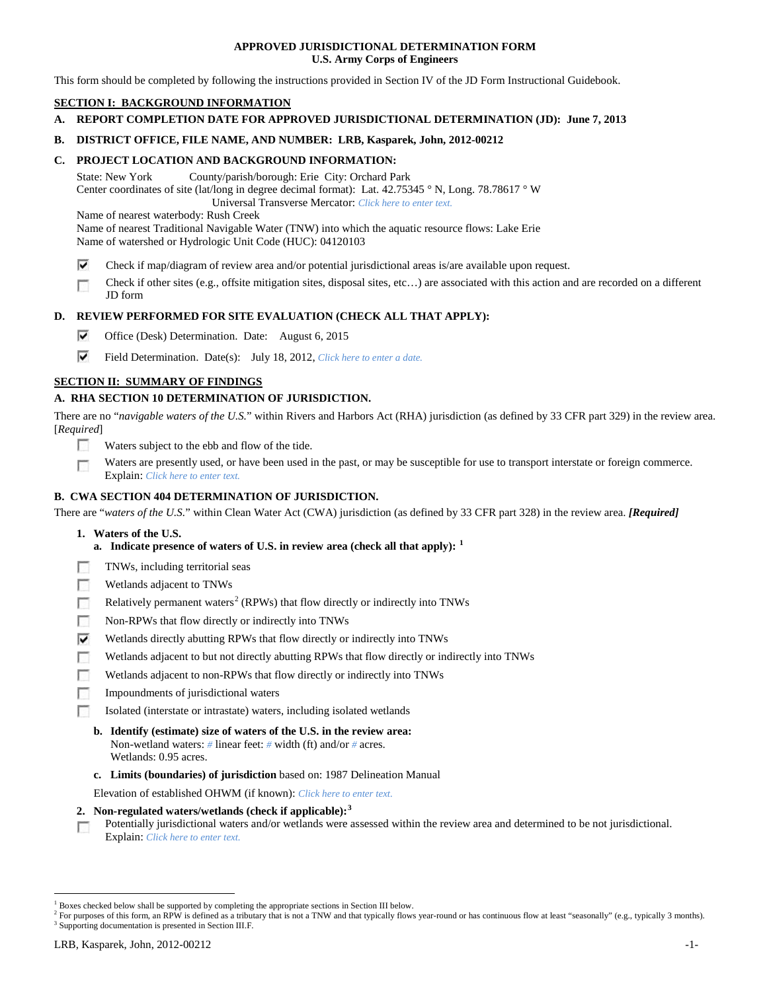## **APPROVED JURISDICTIONAL DETERMINATION FORM U.S. Army Corps of Engineers**

This form should be completed by following the instructions provided in Section IV of the JD Form Instructional Guidebook.

# **SECTION I: BACKGROUND INFORMATION**

**A. REPORT COMPLETION DATE FOR APPROVED JURISDICTIONAL DETERMINATION (JD): June 7, 2013**

## **B. DISTRICT OFFICE, FILE NAME, AND NUMBER: LRB, Kasparek, John, 2012-00212**

## **C. PROJECT LOCATION AND BACKGROUND INFORMATION:**

State: New York County/parish/borough: Erie City: Orchard Park Center coordinates of site (lat/long in degree decimal format): Lat. 42.75345 ° N, Long. 78.78617 ° W Universal Transverse Mercator: *Click here to enter text.*

Name of nearest waterbody: Rush Creek

Name of nearest Traditional Navigable Water (TNW) into which the aquatic resource flows: Lake Erie

Name of watershed or Hydrologic Unit Code (HUC): 04120103

- ⊽ Check if map/diagram of review area and/or potential jurisdictional areas is/are available upon request.
- Check if other sites (e.g., offsite mitigation sites, disposal sites, etc…) are associated with this action and are recorded on a different п JD form

# **D. REVIEW PERFORMED FOR SITE EVALUATION (CHECK ALL THAT APPLY):**

- ⊽ Office (Desk) Determination. Date: August 6, 2015
- ⊽ Field Determination. Date(s): July 18, 2012, *Click here to enter a date.*

# **SECTION II: SUMMARY OF FINDINGS**

# **A. RHA SECTION 10 DETERMINATION OF JURISDICTION.**

There are no "*navigable waters of the U.S.*" within Rivers and Harbors Act (RHA) jurisdiction (as defined by 33 CFR part 329) in the review area. [*Required*]

- n Waters subject to the ebb and flow of the tide.
- Waters are presently used, or have been used in the past, or may be susceptible for use to transport interstate or foreign commerce. п Explain: *Click here to enter text.*

# **B. CWA SECTION 404 DETERMINATION OF JURISDICTION.**

There are "*waters of the U.S.*" within Clean Water Act (CWA) jurisdiction (as defined by 33 CFR part 328) in the review area. *[Required]*

- **1. Waters of the U.S.**
	- **a. Indicate presence of waters of U.S. in review area (check all that apply): [1](#page-0-0)**
- F TNWs, including territorial seas
- п Wetlands adjacent to TNWs
- Relatively permanent waters<sup>[2](#page-0-1)</sup> (RPWs) that flow directly or indirectly into TNWs n
- г Non-RPWs that flow directly or indirectly into TNWs
- ⊽ Wetlands directly abutting RPWs that flow directly or indirectly into TNWs
- г Wetlands adjacent to but not directly abutting RPWs that flow directly or indirectly into TNWs
- Wetlands adjacent to non-RPWs that flow directly or indirectly into TNWs г
- г Impoundments of jurisdictional waters
- Isolated (interstate or intrastate) waters, including isolated wetlands n.
	- **b. Identify (estimate) size of waters of the U.S. in the review area:** Non-wetland waters: *#* linear feet: *#* width (ft) and/or *#* acres. Wetlands: 0.95 acres.
	- **c. Limits (boundaries) of jurisdiction** based on: 1987 Delineation Manual

Elevation of established OHWM (if known): *Click here to enter text.*

- **2. Non-regulated waters/wetlands (check if applicable): [3](#page-0-2)**
- Potentially jurisdictional waters and/or wetlands were assessed within the review area and determined to be not jurisdictional. п Explain: *Click here to enter text.*

<span id="page-0-0"></span><sup>&</sup>lt;sup>1</sup> Boxes checked below shall be supported by completing the appropriate sections in Section III below.

<span id="page-0-2"></span><span id="page-0-1"></span> $^2$  For purposes of this form, an RPW is defined as a tributary that is not a TNW and that typically flows year-round or has continuous flow at least "seasonally" (e.g., typically 3 months). 3 Supporting documentation is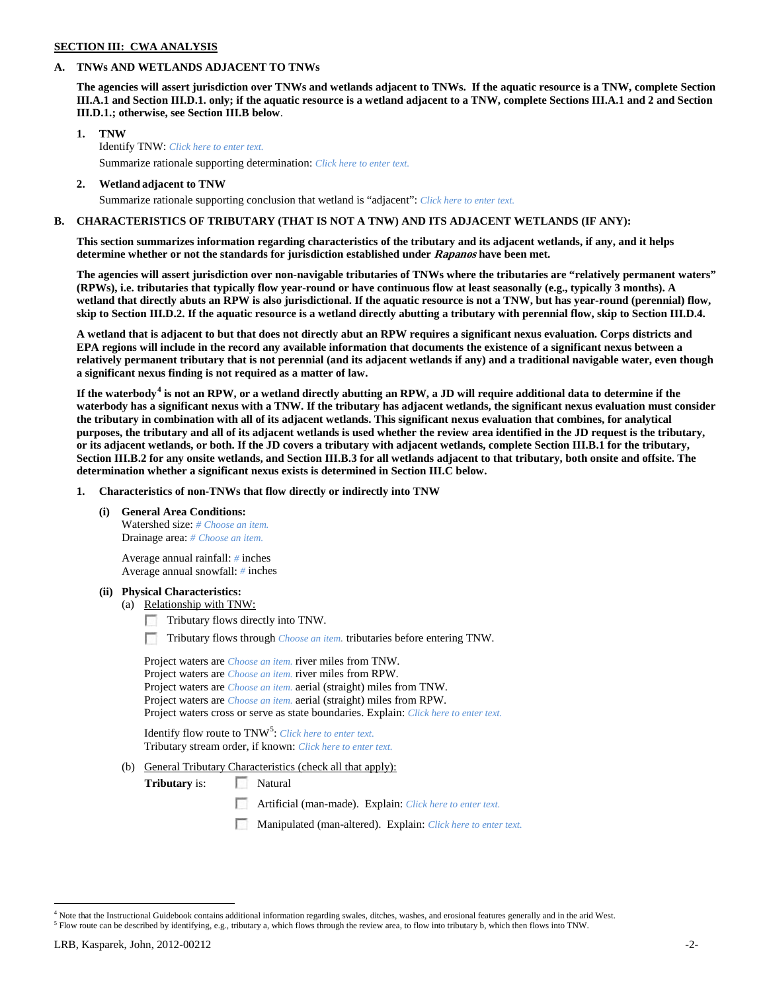# **SECTION III: CWA ANALYSIS**

## **A. TNWs AND WETLANDS ADJACENT TO TNWs**

**The agencies will assert jurisdiction over TNWs and wetlands adjacent to TNWs. If the aquatic resource is a TNW, complete Section III.A.1 and Section III.D.1. only; if the aquatic resource is a wetland adjacent to a TNW, complete Sections III.A.1 and 2 and Section III.D.1.; otherwise, see Section III.B below**.

- **1. TNW**  Identify TNW: *Click here to enter text.*
	- Summarize rationale supporting determination: *Click here to enter text.*
- **2. Wetland adjacent to TNW** Summarize rationale supporting conclusion that wetland is "adjacent": *Click here to enter text.*

# **B. CHARACTERISTICS OF TRIBUTARY (THAT IS NOT A TNW) AND ITS ADJACENT WETLANDS (IF ANY):**

**This section summarizes information regarding characteristics of the tributary and its adjacent wetlands, if any, and it helps determine whether or not the standards for jurisdiction established under Rapanos have been met.** 

**The agencies will assert jurisdiction over non-navigable tributaries of TNWs where the tributaries are "relatively permanent waters" (RPWs), i.e. tributaries that typically flow year-round or have continuous flow at least seasonally (e.g., typically 3 months). A wetland that directly abuts an RPW is also jurisdictional. If the aquatic resource is not a TNW, but has year-round (perennial) flow, skip to Section III.D.2. If the aquatic resource is a wetland directly abutting a tributary with perennial flow, skip to Section III.D.4.**

**A wetland that is adjacent to but that does not directly abut an RPW requires a significant nexus evaluation. Corps districts and EPA regions will include in the record any available information that documents the existence of a significant nexus between a relatively permanent tributary that is not perennial (and its adjacent wetlands if any) and a traditional navigable water, even though a significant nexus finding is not required as a matter of law.**

**If the waterbody[4](#page-1-0) is not an RPW, or a wetland directly abutting an RPW, a JD will require additional data to determine if the waterbody has a significant nexus with a TNW. If the tributary has adjacent wetlands, the significant nexus evaluation must consider the tributary in combination with all of its adjacent wetlands. This significant nexus evaluation that combines, for analytical purposes, the tributary and all of its adjacent wetlands is used whether the review area identified in the JD request is the tributary, or its adjacent wetlands, or both. If the JD covers a tributary with adjacent wetlands, complete Section III.B.1 for the tributary, Section III.B.2 for any onsite wetlands, and Section III.B.3 for all wetlands adjacent to that tributary, both onsite and offsite. The determination whether a significant nexus exists is determined in Section III.C below.**

**1. Characteristics of non-TNWs that flow directly or indirectly into TNW**

**(i) General Area Conditions:**

Watershed size: *# Choose an item.* Drainage area: *# Choose an item.*

Average annual rainfall: *#* inches Average annual snowfall: *#* inches

## **(ii) Physical Characteristics:**

- (a) Relationship with TNW:
	- Tributary flows directly into TNW.

n Tributary flows through *Choose an item.* tributaries before entering TNW.

Project waters are *Choose an item.* river miles from TNW. Project waters are *Choose an item.* river miles from RPW. Project waters are *Choose an item.* aerial (straight) miles from TNW. Project waters are *Choose an item.* aerial (straight) miles from RPW. Project waters cross or serve as state boundaries. Explain: *Click here to enter text.*

Identify flow route to TNW<sup>[5](#page-1-1)</sup>: *Click here to enter text.* Tributary stream order, if known: *Click here to enter text.*

(b) General Tributary Characteristics (check all that apply):

**Tributary** is: Natural

- Artificial (man-made). Explain: *Click here to enter text.*
- Manipulated (man-altered). Explain: *Click here to enter text.*

<span id="page-1-0"></span> $4$  Note that the Instructional Guidebook contains additional information regarding swales, ditches, washes, and erosional features generally and in the arid West.<br> $5$  Flow route can be described by identifying, e.g., tri

<span id="page-1-1"></span>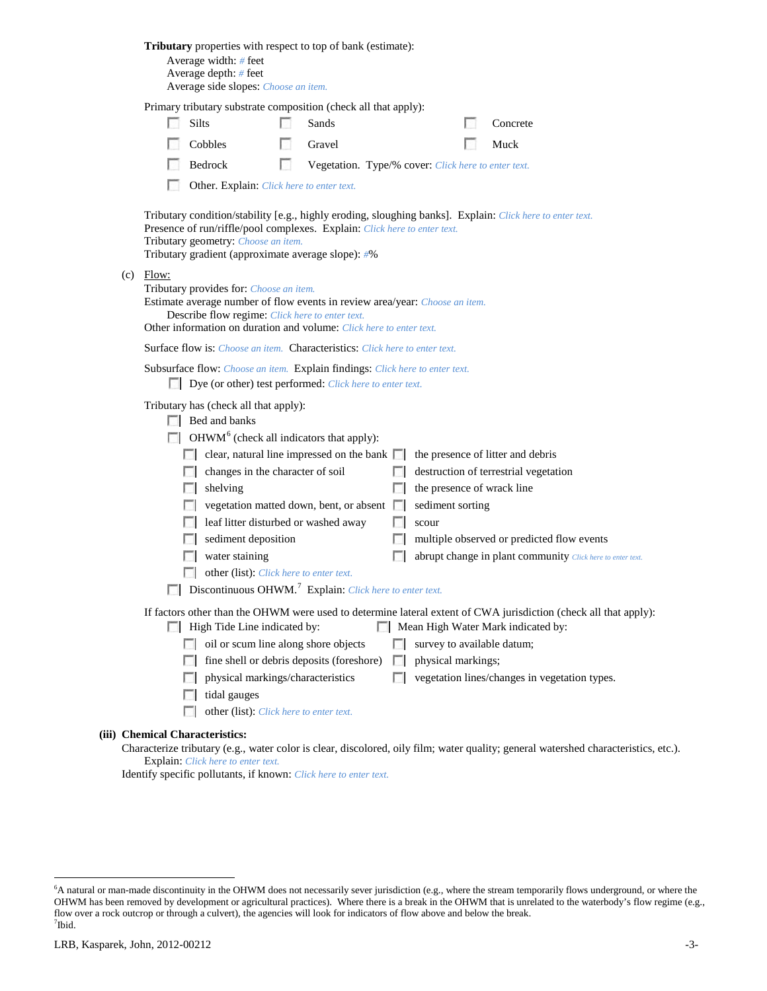|                                                                                                                                                                                                                                                                                                     |                                                                                                                              | <b>Tributary</b> properties with respect to top of bank (estimate):<br>Average width: $#$ feet<br>Average depth: # feet<br>Average side slopes: Choose an item.                                                                                  |        |                                                     |                |                            |  |                                                            |
|-----------------------------------------------------------------------------------------------------------------------------------------------------------------------------------------------------------------------------------------------------------------------------------------------------|------------------------------------------------------------------------------------------------------------------------------|--------------------------------------------------------------------------------------------------------------------------------------------------------------------------------------------------------------------------------------------------|--------|-----------------------------------------------------|----------------|----------------------------|--|------------------------------------------------------------|
|                                                                                                                                                                                                                                                                                                     |                                                                                                                              | Primary tributary substrate composition (check all that apply):                                                                                                                                                                                  |        |                                                     |                |                            |  |                                                            |
|                                                                                                                                                                                                                                                                                                     |                                                                                                                              | Silts                                                                                                                                                                                                                                            |        | Sands                                               |                |                            |  | Concrete                                                   |
|                                                                                                                                                                                                                                                                                                     |                                                                                                                              | Cobbles                                                                                                                                                                                                                                          |        | Gravel                                              |                |                            |  | Muck                                                       |
|                                                                                                                                                                                                                                                                                                     |                                                                                                                              | Bedrock                                                                                                                                                                                                                                          | $\sim$ | Vegetation. Type/% cover: Click here to enter text. |                |                            |  |                                                            |
|                                                                                                                                                                                                                                                                                                     |                                                                                                                              | Other. Explain: Click here to enter text.                                                                                                                                                                                                        |        |                                                     |                |                            |  |                                                            |
| Tributary condition/stability [e.g., highly eroding, sloughing banks]. Explain: Click here to enter text.<br>Presence of run/riffle/pool complexes. Explain: Click here to enter text.<br>Tributary geometry: Choose an item.<br>Tributary gradient (approximate average slope): #%<br>Flow:<br>(c) |                                                                                                                              |                                                                                                                                                                                                                                                  |        |                                                     |                |                            |  |                                                            |
|                                                                                                                                                                                                                                                                                                     |                                                                                                                              | Tributary provides for: Choose an item.<br>Estimate average number of flow events in review area/year: Choose an item.<br>Describe flow regime: Click here to enter text.<br>Other information on duration and volume: Click here to enter text. |        |                                                     |                |                            |  |                                                            |
|                                                                                                                                                                                                                                                                                                     |                                                                                                                              | <b>Surface flow is:</b> Choose an item. <b>Characteristics:</b> Click here to enter text.                                                                                                                                                        |        |                                                     |                |                            |  |                                                            |
| Subsurface flow: Choose an item. Explain findings: Click here to enter text.<br>Dye (or other) test performed: Click here to enter text.                                                                                                                                                            |                                                                                                                              |                                                                                                                                                                                                                                                  |        |                                                     |                |                            |  |                                                            |
|                                                                                                                                                                                                                                                                                                     | Tributary has (check all that apply):<br>$\Box$ Bed and banks<br>$\Box$ OHWM <sup>6</sup> (check all indicators that apply): |                                                                                                                                                                                                                                                  |        |                                                     |                |                            |  |                                                            |
|                                                                                                                                                                                                                                                                                                     |                                                                                                                              |                                                                                                                                                                                                                                                  |        | clear, natural line impressed on the bank $\Box$    |                |                            |  | the presence of litter and debris                          |
|                                                                                                                                                                                                                                                                                                     |                                                                                                                              | changes in the character of soil<br>$\sim$                                                                                                                                                                                                       |        |                                                     | <b>Barbara</b> |                            |  | destruction of terrestrial vegetation                      |
|                                                                                                                                                                                                                                                                                                     |                                                                                                                              | shelving                                                                                                                                                                                                                                         |        |                                                     | L.             | the presence of wrack line |  |                                                            |
|                                                                                                                                                                                                                                                                                                     |                                                                                                                              |                                                                                                                                                                                                                                                  |        | vegetation matted down, bent, or absent             | $\mathbb{R}^n$ | sediment sorting           |  |                                                            |
|                                                                                                                                                                                                                                                                                                     |                                                                                                                              | leaf litter disturbed or washed away                                                                                                                                                                                                             |        |                                                     | F 1            | scour                      |  |                                                            |
|                                                                                                                                                                                                                                                                                                     |                                                                                                                              | sediment deposition                                                                                                                                                                                                                              |        |                                                     | $\mathcal{L}$  |                            |  | multiple observed or predicted flow events                 |
|                                                                                                                                                                                                                                                                                                     |                                                                                                                              | water staining                                                                                                                                                                                                                                   |        |                                                     |                |                            |  | abrupt change in plant community Click here to enter text. |
|                                                                                                                                                                                                                                                                                                     |                                                                                                                              | other (list): Click here to enter text.<br>$\Box$ Discontinuous OHWM. <sup>7</sup> Explain: Click here to enter text.                                                                                                                            |        |                                                     |                |                            |  |                                                            |
| If factors other than the OHWM were used to determine lateral extent of CWA jurisdiction (check all that apply):<br>High Tide Line indicated by:<br>Mean High Water Mark indicated by:                                                                                                              |                                                                                                                              |                                                                                                                                                                                                                                                  |        |                                                     |                |                            |  |                                                            |
|                                                                                                                                                                                                                                                                                                     |                                                                                                                              | oil or scum line along shore objects<br><b>COLLEGE</b>                                                                                                                                                                                           |        |                                                     | FН             | survey to available datum; |  |                                                            |
|                                                                                                                                                                                                                                                                                                     |                                                                                                                              |                                                                                                                                                                                                                                                  |        | fine shell or debris deposits (foreshore)           | $\mathbb{R}^n$ | physical markings;         |  |                                                            |
|                                                                                                                                                                                                                                                                                                     |                                                                                                                              | physical markings/characteristics                                                                                                                                                                                                                |        |                                                     | n              |                            |  | vegetation lines/changes in vegetation types.              |
|                                                                                                                                                                                                                                                                                                     |                                                                                                                              | tidal gauges<br>other (list): Click here to enter text.                                                                                                                                                                                          |        |                                                     |                |                            |  |                                                            |
|                                                                                                                                                                                                                                                                                                     |                                                                                                                              |                                                                                                                                                                                                                                                  |        |                                                     |                |                            |  |                                                            |
| (iii) Chemical Characteristics:<br>Characterize tributary (e.g., water color is clear, discolored, oily film; water quality; general watershed characteristics, etc.).                                                                                                                              |                                                                                                                              |                                                                                                                                                                                                                                                  |        |                                                     |                |                            |  |                                                            |
| Explain: Click here to enter text.                                                                                                                                                                                                                                                                  |                                                                                                                              |                                                                                                                                                                                                                                                  |        |                                                     |                |                            |  |                                                            |

Identify specific pollutants, if known: *Click here to enter text.*

<span id="page-2-1"></span><span id="page-2-0"></span> <sup>6</sup> <sup>6</sup>A natural or man-made discontinuity in the OHWM does not necessarily sever jurisdiction (e.g., where the stream temporarily flows underground, or where the OHWM has been removed by development or agricultural practices). Where there is a break in the OHWM that is unrelated to the waterbody's flow regime (e.g., flow over a rock outcrop or through a culvert), the agencies will look for indicators of flow above and below the break. 7 Ibid.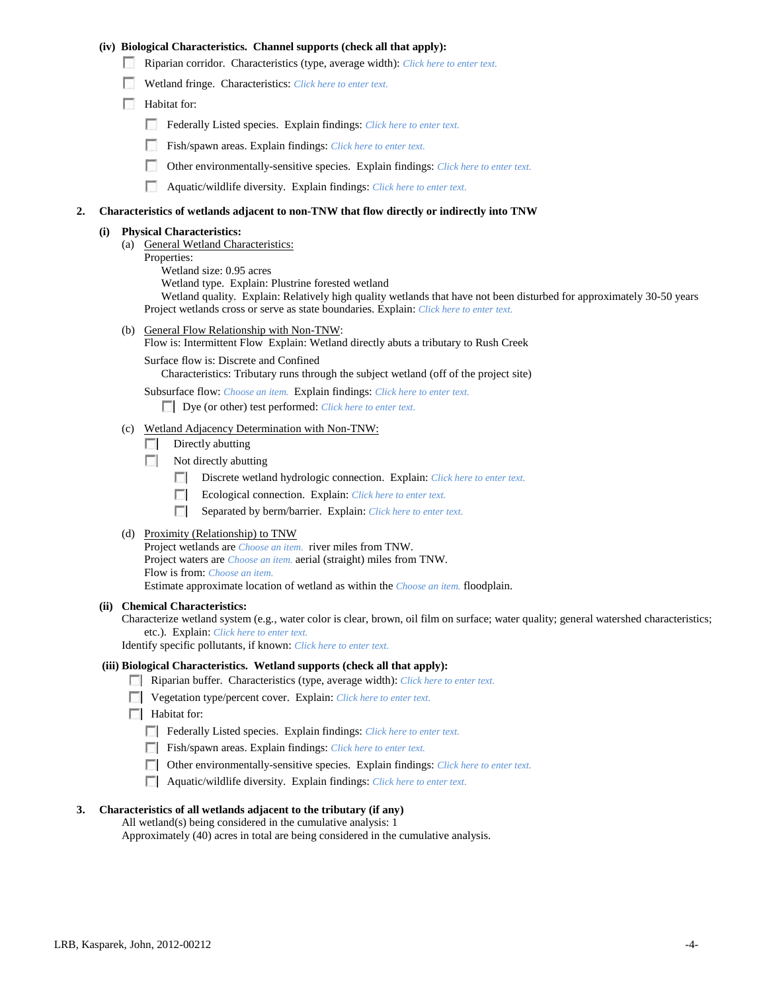## **(iv) Biological Characteristics. Channel supports (check all that apply):**

- Riparian corridor. Characteristics (type, average width): *Click here to enter text.*
- Wetland fringe. Characteristics: *Click here to enter text.*
- Habitat for:
	- Federally Listed species. Explain findings: *Click here to enter text*.
	- Fish/spawn areas. Explain findings: *Click here to enter text.*
	- Other environmentally-sensitive species. Explain findings: *Click here to enter text.*
	- n Aquatic/wildlife diversity. Explain findings: *Click here to enter text.*

#### **2. Characteristics of wetlands adjacent to non-TNW that flow directly or indirectly into TNW**

### **(i) Physical Characteristics:**

- (a) General Wetland Characteristics:
	- Properties:
		- Wetland size: 0.95 acres

Wetland type. Explain: Plustrine forested wetland

Wetland quality. Explain: Relatively high quality wetlands that have not been disturbed for approximately 30-50 years Project wetlands cross or serve as state boundaries. Explain: *Click here to enter text.*

- (b) General Flow Relationship with Non-TNW: Flow is: Intermittent Flow Explain: Wetland directly abuts a tributary to Rush Creek
	- Surface flow is: Discrete and Confined

Characteristics: Tributary runs through the subject wetland (off of the project site)

Subsurface flow: *Choose an item.* Explain findings: *Click here to enter text.*

Dye (or other) test performed: *Click here to enter text.*

- (c) Wetland Adjacency Determination with Non-TNW:
	- $\Box$  Directly abutting
	- Not directly abutting
		- 100 Discrete wetland hydrologic connection. Explain: *Click here to enter text.*
		- Ecological connection. Explain: *Click here to enter text.* **The Contract of the Contract of the Contract of the Contract of the Contract of the Contract of the Contract of the Contract of the Contract of the Contract of the Contract of the Contract of the Contract of the Contract**
		- $\Box$ Separated by berm/barrier. Explain: *Click here to enter text.*
- (d) Proximity (Relationship) to TNW

Project wetlands are *Choose an item.* river miles from TNW. Project waters are *Choose an item.* aerial (straight) miles from TNW. Flow is from: *Choose an item.* Estimate approximate location of wetland as within the *Choose an item.* floodplain.

#### **(ii) Chemical Characteristics:**

Characterize wetland system (e.g., water color is clear, brown, oil film on surface; water quality; general watershed characteristics; etc.). Explain: *Click here to enter text.*

Identify specific pollutants, if known: *Click here to enter text.*

### **(iii) Biological Characteristics. Wetland supports (check all that apply):**

- Riparian buffer. Characteristics (type, average width): *Click here to enter text.*
- Vegetation type/percent cover. Explain: *Click here to enter text.*
- **Habitat for:** 
	- Federally Listed species. Explain findings: *Click here to enter text*.
	- Fish/spawn areas. Explain findings: *Click here to enter text.*
	- Other environmentally-sensitive species. Explain findings: *Click here to enter text.*
	- Aquatic/wildlife diversity. Explain findings: *Click here to enter text.*

### **3. Characteristics of all wetlands adjacent to the tributary (if any)**

All wetland(s) being considered in the cumulative analysis: 1

Approximately (40) acres in total are being considered in the cumulative analysis.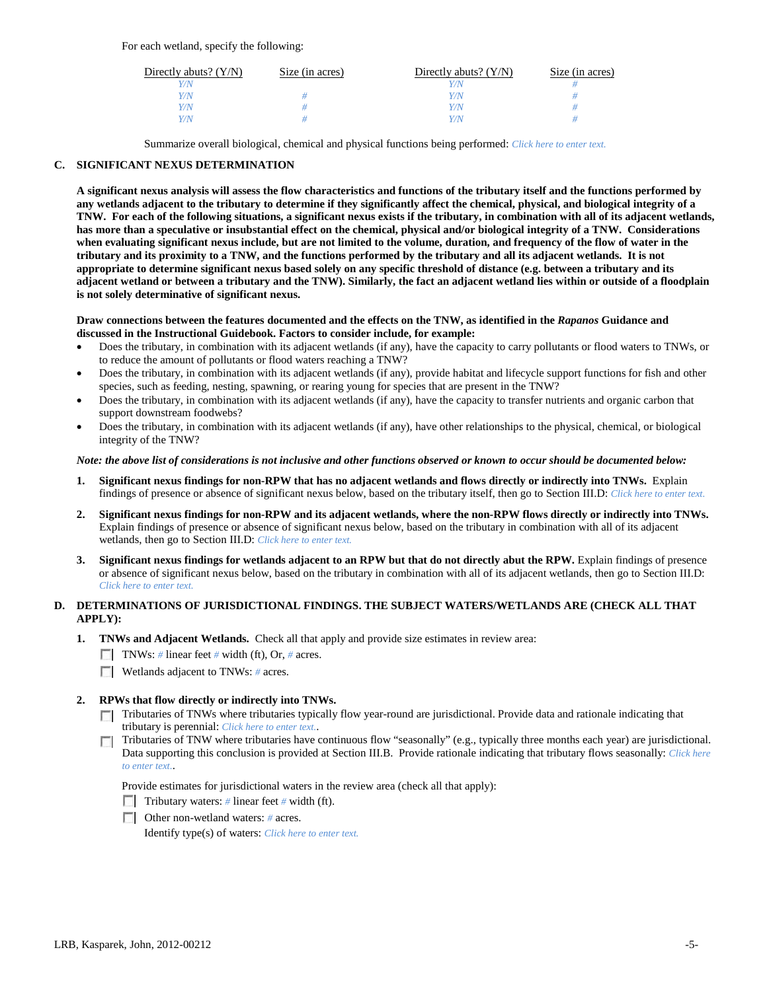For each wetland, specify the following:

| Directly abuts? $(Y/N)$ | Size (in acres) | Directly abuts? $(Y/N)$ | Size (in acres) |
|-------------------------|-----------------|-------------------------|-----------------|
|                         |                 | Y/N                     |                 |
| Y/N                     |                 | Y/N                     |                 |
| Y/N                     |                 | Y/N                     |                 |
| V/N                     |                 | Y/N                     |                 |

Summarize overall biological, chemical and physical functions being performed: *Click here to enter text.*

## **C. SIGNIFICANT NEXUS DETERMINATION**

**A significant nexus analysis will assess the flow characteristics and functions of the tributary itself and the functions performed by any wetlands adjacent to the tributary to determine if they significantly affect the chemical, physical, and biological integrity of a TNW. For each of the following situations, a significant nexus exists if the tributary, in combination with all of its adjacent wetlands, has more than a speculative or insubstantial effect on the chemical, physical and/or biological integrity of a TNW. Considerations when evaluating significant nexus include, but are not limited to the volume, duration, and frequency of the flow of water in the tributary and its proximity to a TNW, and the functions performed by the tributary and all its adjacent wetlands. It is not appropriate to determine significant nexus based solely on any specific threshold of distance (e.g. between a tributary and its adjacent wetland or between a tributary and the TNW). Similarly, the fact an adjacent wetland lies within or outside of a floodplain is not solely determinative of significant nexus.** 

## **Draw connections between the features documented and the effects on the TNW, as identified in the** *Rapanos* **Guidance and discussed in the Instructional Guidebook. Factors to consider include, for example:**

- Does the tributary, in combination with its adjacent wetlands (if any), have the capacity to carry pollutants or flood waters to TNWs, or to reduce the amount of pollutants or flood waters reaching a TNW?
- Does the tributary, in combination with its adjacent wetlands (if any), provide habitat and lifecycle support functions for fish and other species, such as feeding, nesting, spawning, or rearing young for species that are present in the TNW?
- Does the tributary, in combination with its adjacent wetlands (if any), have the capacity to transfer nutrients and organic carbon that support downstream foodwebs?
- Does the tributary, in combination with its adjacent wetlands (if any), have other relationships to the physical, chemical, or biological integrity of the TNW?

## *Note: the above list of considerations is not inclusive and other functions observed or known to occur should be documented below:*

- **1. Significant nexus findings for non-RPW that has no adjacent wetlands and flows directly or indirectly into TNWs.** Explain findings of presence or absence of significant nexus below, based on the tributary itself, then go to Section III.D: *Click here to enter text.*
- **2. Significant nexus findings for non-RPW and its adjacent wetlands, where the non-RPW flows directly or indirectly into TNWs.**  Explain findings of presence or absence of significant nexus below, based on the tributary in combination with all of its adjacent wetlands, then go to Section III.D: *Click here to enter text.*
- **3. Significant nexus findings for wetlands adjacent to an RPW but that do not directly abut the RPW.** Explain findings of presence or absence of significant nexus below, based on the tributary in combination with all of its adjacent wetlands, then go to Section III.D: *Click here to enter text.*

# **D. DETERMINATIONS OF JURISDICTIONAL FINDINGS. THE SUBJECT WATERS/WETLANDS ARE (CHECK ALL THAT APPLY):**

- **1. TNWs and Adjacent Wetlands.** Check all that apply and provide size estimates in review area:
	- TNWs: *#* linear feet *#* width (ft), Or, *#* acres.
	- **Wetlands adjacent to TNWs: # acres.**

## **2. RPWs that flow directly or indirectly into TNWs.**

- Tributaries of TNWs where tributaries typically flow year-round are jurisdictional. Provide data and rationale indicating that tributary is perennial: *Click here to enter text.*.
- Tributaries of TNW where tributaries have continuous flow "seasonally" (e.g., typically three months each year) are jurisdictional.  $\mathcal{L}$ Data supporting this conclusion is provided at Section III.B. Provide rationale indicating that tributary flows seasonally: *Click here to enter text.*.

Provide estimates for jurisdictional waters in the review area (check all that apply):

- Tributary waters: # linear feet # width (ft).
- Other non-wetland waters: *#* acres.

Identify type(s) of waters: *Click here to enter text.*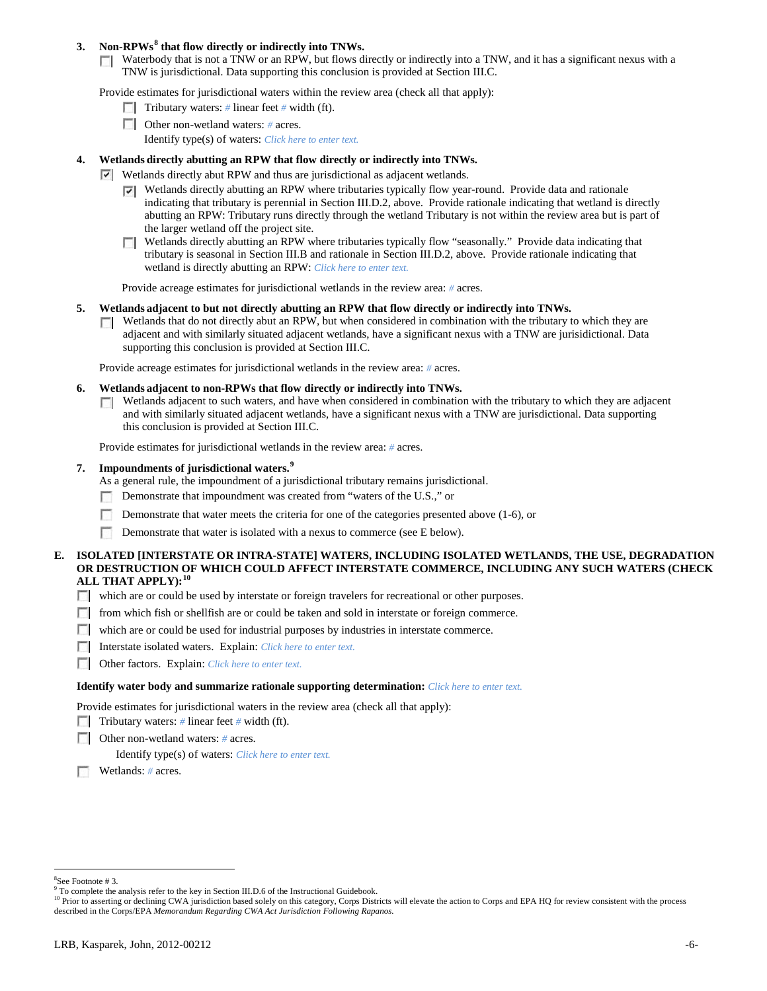## **3. Non-RPWs[8](#page-5-0) that flow directly or indirectly into TNWs.**

Waterbody that is not a TNW or an RPW, but flows directly or indirectly into a TNW, and it has a significant nexus with a TNW is jurisdictional. Data supporting this conclusion is provided at Section III.C.

Provide estimates for jurisdictional waters within the review area (check all that apply):

- **Tributary waters:** # linear feet # width (ft).
- Other non-wetland waters: # acres. Identify type(s) of waters: *Click here to enter text.*
- **4. Wetlands directly abutting an RPW that flow directly or indirectly into TNWs.**
	- Wetlands directly abut RPW and thus are jurisdictional as adjacent wetlands.
		- $\nabla$  Wetlands directly abutting an RPW where tributaries typically flow year-round. Provide data and rationale indicating that tributary is perennial in Section III.D.2, above. Provide rationale indicating that wetland is directly abutting an RPW: Tributary runs directly through the wetland Tributary is not within the review area but is part of the larger wetland off the project site.
		- Wetlands directly abutting an RPW where tributaries typically flow "seasonally." Provide data indicating that tributary is seasonal in Section III.B and rationale in Section III.D.2, above. Provide rationale indicating that wetland is directly abutting an RPW: *Click here to enter text.*

Provide acreage estimates for jurisdictional wetlands in the review area: *#* acres.

### **5. Wetlands adjacent to but not directly abutting an RPW that flow directly or indirectly into TNWs.**

Wetlands that do not directly abut an RPW, but when considered in combination with the tributary to which they are ш adjacent and with similarly situated adjacent wetlands, have a significant nexus with a TNW are jurisidictional. Data supporting this conclusion is provided at Section III.C.

Provide acreage estimates for jurisdictional wetlands in the review area: *#* acres.

#### **6. Wetlands adjacent to non-RPWs that flow directly or indirectly into TNWs.**

Wetlands adjacent to such waters, and have when considered in combination with the tributary to which they are adjacent  $\mathcal{L}$ and with similarly situated adjacent wetlands, have a significant nexus with a TNW are jurisdictional. Data supporting this conclusion is provided at Section III.C.

Provide estimates for jurisdictional wetlands in the review area: *#* acres.

## **7. Impoundments of jurisdictional waters. [9](#page-5-1)**

As a general rule, the impoundment of a jurisdictional tributary remains jurisdictional.

- Demonstrate that impoundment was created from "waters of the U.S.," or  $\sim$
- Demonstrate that water meets the criteria for one of the categories presented above (1-6), or
- Demonstrate that water is isolated with a nexus to commerce (see E below).

## **E. ISOLATED [INTERSTATE OR INTRA-STATE] WATERS, INCLUDING ISOLATED WETLANDS, THE USE, DEGRADATION OR DESTRUCTION OF WHICH COULD AFFECT INTERSTATE COMMERCE, INCLUDING ANY SUCH WATERS (CHECK ALL THAT APPLY):[10](#page-5-2)**

- which are or could be used by interstate or foreign travelers for recreational or other purposes.
- from which fish or shellfish are or could be taken and sold in interstate or foreign commerce.
- which are or could be used for industrial purposes by industries in interstate commerce.
- Interstate isolated waters.Explain: *Click here to enter text.*
- Other factors.Explain: *Click here to enter text.*

#### **Identify water body and summarize rationale supporting determination:** *Click here to enter text.*

Provide estimates for jurisdictional waters in the review area (check all that apply):

- Tributary waters: # linear feet # width (ft).
- Other non-wetland waters: *#* acres.

Identify type(s) of waters: *Click here to enter text.*

n Wetlands: *#* acres.

 $\frac{1}{8}$ See Footnote # 3.

<span id="page-5-1"></span><span id="page-5-0"></span><sup>&</sup>lt;sup>9</sup> To complete the analysis refer to the key in Section III.D.6 of the Instructional Guidebook.

<span id="page-5-2"></span><sup>&</sup>lt;sup>10</sup> Prior to asserting or declining CWA jurisdiction based solely on this category, Corps Districts will elevate the action to Corps and EPA HQ for review consistent with the process described in the Corps/EPA *Memorandum Regarding CWA Act Jurisdiction Following Rapanos.*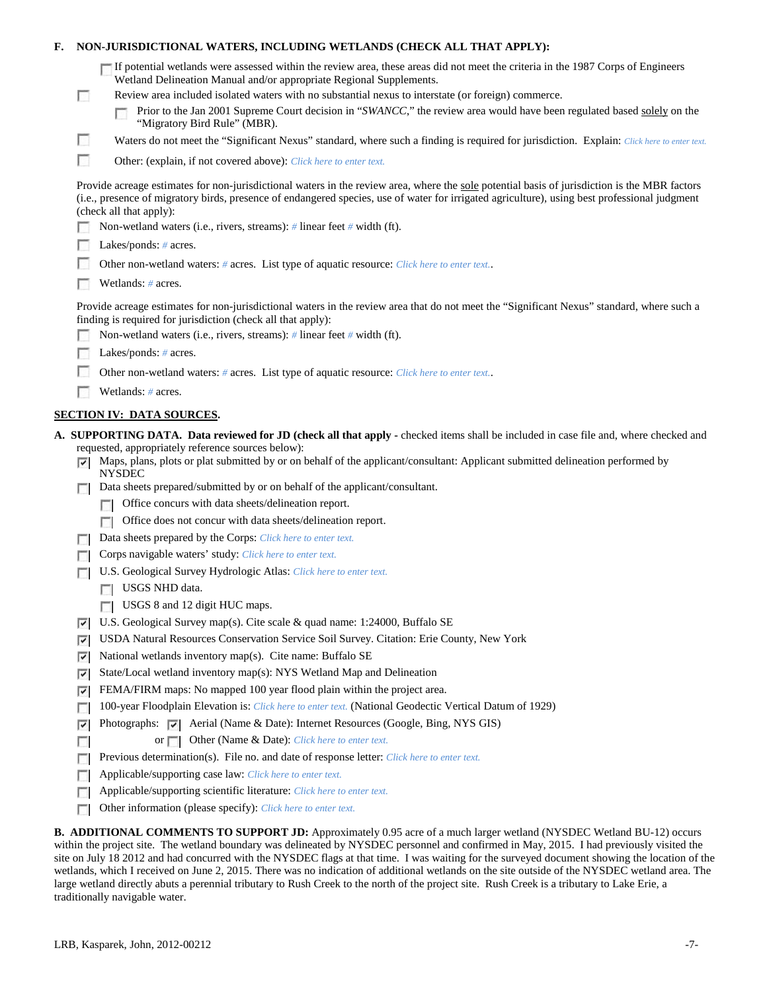| F. |          | NON-JURISDICTIONAL WATERS, INCLUDING WETLANDS (CHECK ALL THAT APPLY):                                                                                                                                                                                                                                                                                                                                                                     |  |  |  |  |
|----|----------|-------------------------------------------------------------------------------------------------------------------------------------------------------------------------------------------------------------------------------------------------------------------------------------------------------------------------------------------------------------------------------------------------------------------------------------------|--|--|--|--|
|    | $\Box$   | If potential wetlands were assessed within the review area, these areas did not meet the criteria in the 1987 Corps of Engineers<br>Wetland Delineation Manual and/or appropriate Regional Supplements.<br>Review area included isolated waters with no substantial nexus to interstate (or foreign) commerce.<br>Prior to the Jan 2001 Supreme Court decision in "SWANCC," the review area would have been regulated based solely on the |  |  |  |  |
|    | L.       | "Migratory Bird Rule" (MBR).<br>Waters do not meet the "Significant Nexus" standard, where such a finding is required for jurisdiction. Explain: Click here to enter text.                                                                                                                                                                                                                                                                |  |  |  |  |
|    |          |                                                                                                                                                                                                                                                                                                                                                                                                                                           |  |  |  |  |
|    | г        | Other: (explain, if not covered above): Click here to enter text.                                                                                                                                                                                                                                                                                                                                                                         |  |  |  |  |
|    |          | Provide acreage estimates for non-jurisdictional waters in the review area, where the sole potential basis of jurisdiction is the MBR factors<br>(i.e., presence of migratory birds, presence of endangered species, use of water for irrigated agriculture), using best professional judgment<br>(check all that apply):<br>Non-wetland waters (i.e., rivers, streams): $\#$ linear feet $\#$ width (ft).                                |  |  |  |  |
|    |          | Lakes/ponds: $# \, \text{acres.}$                                                                                                                                                                                                                                                                                                                                                                                                         |  |  |  |  |
|    |          | Other non-wetland waters: # acres. List type of aquatic resource: Click here to enter text                                                                                                                                                                                                                                                                                                                                                |  |  |  |  |
|    |          | Wetlands: # acres.                                                                                                                                                                                                                                                                                                                                                                                                                        |  |  |  |  |
|    |          | Provide acreage estimates for non-jurisdictional waters in the review area that do not meet the "Significant Nexus" standard, where such a<br>finding is required for jurisdiction (check all that apply):<br>Non-wetland waters (i.e., rivers, streams): $\#$ linear feet $\#$ width (ft).                                                                                                                                               |  |  |  |  |
|    |          | Lakes/ponds: $# \, \text{acres.}$                                                                                                                                                                                                                                                                                                                                                                                                         |  |  |  |  |
|    |          | Other non-wetland waters: # acres. List type of aquatic resource: Click here to enter text                                                                                                                                                                                                                                                                                                                                                |  |  |  |  |
|    |          | Wetlands: # acres.                                                                                                                                                                                                                                                                                                                                                                                                                        |  |  |  |  |
|    |          |                                                                                                                                                                                                                                                                                                                                                                                                                                           |  |  |  |  |
|    |          | <b>SECTION IV: DATA SOURCES.</b>                                                                                                                                                                                                                                                                                                                                                                                                          |  |  |  |  |
|    | ☞        | A. SUPPORTING DATA. Data reviewed for JD (check all that apply - checked items shall be included in case file and, where checked and<br>requested, appropriately reference sources below):<br>Maps, plans, plots or plat submitted by or on behalf of the applicant/consultant: Applicant submitted delineation performed by<br><b>NYSDEC</b>                                                                                             |  |  |  |  |
|    | п        | Data sheets prepared/submitted by or on behalf of the applicant/consultant.<br>Office concurs with data sheets/delineation report.                                                                                                                                                                                                                                                                                                        |  |  |  |  |
|    |          | $\Box$<br>Office does not concur with data sheets/delineation report.                                                                                                                                                                                                                                                                                                                                                                     |  |  |  |  |
|    |          | Data sheets prepared by the Corps: Click here to enter text.                                                                                                                                                                                                                                                                                                                                                                              |  |  |  |  |
|    | L.       | Corps navigable waters' study: Click here to enter text.                                                                                                                                                                                                                                                                                                                                                                                  |  |  |  |  |
|    |          | U.S. Geological Survey Hydrologic Atlas: Click here to enter text.                                                                                                                                                                                                                                                                                                                                                                        |  |  |  |  |
|    |          | USGS NHD data.                                                                                                                                                                                                                                                                                                                                                                                                                            |  |  |  |  |
|    |          | USGS 8 and 12 digit HUC maps.                                                                                                                                                                                                                                                                                                                                                                                                             |  |  |  |  |
|    | ⊽        | U.S. Geological Survey map(s). Cite scale $\&$ quad name: 1:24000, Buffalo SE                                                                                                                                                                                                                                                                                                                                                             |  |  |  |  |
|    | ⊽        | USDA Natural Resources Conservation Service Soil Survey. Citation: Erie County, New York                                                                                                                                                                                                                                                                                                                                                  |  |  |  |  |
|    | ⊽        | National wetlands inventory map(s). Cite name: Buffalo SE                                                                                                                                                                                                                                                                                                                                                                                 |  |  |  |  |
|    | ⊽        | State/Local wetland inventory map(s): NYS Wetland Map and Delineation                                                                                                                                                                                                                                                                                                                                                                     |  |  |  |  |
|    | ⊽        | FEMA/FIRM maps: No mapped 100 year flood plain within the project area.                                                                                                                                                                                                                                                                                                                                                                   |  |  |  |  |
|    | п        | 100-year Floodplain Elevation is: Click here to enter text. (National Geodectic Vertical Datum of 1929)                                                                                                                                                                                                                                                                                                                                   |  |  |  |  |
|    | ⊽        | Photographs: v   Aerial (Name & Date): Internet Resources (Google, Bing, NYS GIS)                                                                                                                                                                                                                                                                                                                                                         |  |  |  |  |
|    | п        | Other (Name & Date): Click here to enter text.<br>or $\Box$                                                                                                                                                                                                                                                                                                                                                                               |  |  |  |  |
|    | г        | Previous determination(s). File no. and date of response letter: Click here to enter text.                                                                                                                                                                                                                                                                                                                                                |  |  |  |  |
|    | <b>I</b> | Applicable/supporting case law: Click here to enter text.                                                                                                                                                                                                                                                                                                                                                                                 |  |  |  |  |
|    |          | Applicable/supporting scientific literature: Click here to enter text.                                                                                                                                                                                                                                                                                                                                                                    |  |  |  |  |
|    | г        | Other information (please specify): Click here to enter text.                                                                                                                                                                                                                                                                                                                                                                             |  |  |  |  |
|    |          | <b>B. ADDITIONAL COMMENTS TO SUPPORT JD:</b> Approximately 0.95 acre of a much larger wetland (NYSDEC Wetland BU-12) occurs                                                                                                                                                                                                                                                                                                               |  |  |  |  |

within the project site. The wetland boundary was delineated by NYSDEC personnel and confirmed in May, 2015. I had previously visited the site on July 18 2012 and had concurred with the NYSDEC flags at that time. I was waiting for the surveyed document showing the location of the wetlands, which I received on June 2, 2015. There was no indication of additional wetlands on the site outside of the NYSDEC wetland area. The large wetland directly abuts a perennial tributary to Rush Creek to the north of the project site. Rush Creek is a tributary to Lake Erie, a traditionally navigable water.